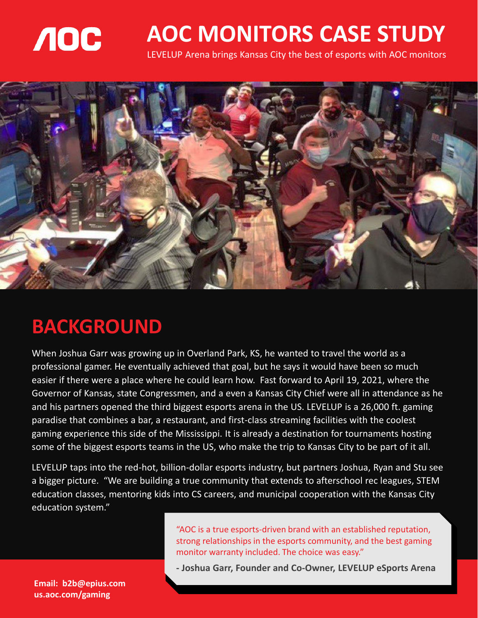

## **AOC MONITORS CASE STUDY**

LEVELUP Arena brings Kansas City the best of esports with AOC monitors



#### **BACKGROUND**

When Joshua Garr was growing up in Overland Park, KS, he wanted to travel the world as a professional gamer. He eventually achieved that goal, but he says it would have been so much easier if there were a place where he could learn how. Fast forward to April 19, 2021, where the Governor of Kansas, state Congressmen, and a even a Kansas City Chief were all in attendance as he and his partners opened the third biggest esports arena in the US. LEVELUP is a 26,000 ft. gaming paradise that combines a bar, a restaurant, and first-class streaming facilities with the coolest gaming experience this side of the Mississippi. It is already a destination for tournaments hosting some of the biggest esports teams in the US, who make the trip to Kansas City to be part of it all.

LEVELUP taps into the red-hot, billion-dollar esports industry, but partners Joshua, Ryan and Stu see a bigger picture. "We are building a true community that extends to afterschool rec leagues, STEM education classes, mentoring kids into CS careers, and municipal cooperation with the Kansas City education system."

> "AOC is a true esports-driven brand with an established reputation, strong relationships in the esports community, and the best gaming monitor warranty included. The choice was easy."

> **- Joshua Garr, Founder and Co-Owner, LEVELUP eSports Arena**

**Email: b2b@epius.com us.aoc.com/gaming**